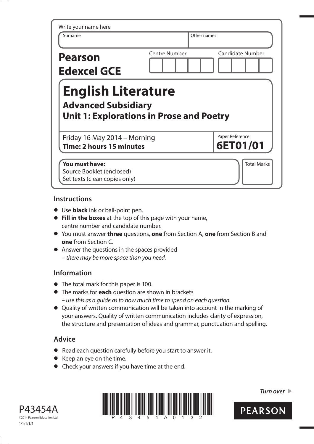| Surname                                                  |               | Other names             |
|----------------------------------------------------------|---------------|-------------------------|
| <b>Pearson</b><br><b>Edexcel GCE</b>                     | Centre Number | <b>Candidate Number</b> |
| <b>English Literature</b><br><b>Advanced Subsidiary</b>  |               |                         |
| <b>Unit 1: Explorations in Prose and Poetry</b>          |               |                         |
|                                                          |               | Paper Reference         |
| Friday 16 May 2014 - Morning<br>Time: 2 hours 15 minutes |               | 6ET01/01                |

# **Instructions**

- **t** Use **black** ink or ball-point pen.
- **Fill in the boxes** at the top of this page with your name, centre number and candidate number.
- **t** You must answer **three** questions, **one** from Section A, **one** from Section B and **one** from Section C.
- **•** Answer the questions in the spaces provided – there may be more space than you need.

# **Information**

- **•** The total mark for this paper is 100.
- **t** The marks for **each** question are shown in brackets – use this as a guide as to how much time to spend on each question.
- **t** Quality of written communication will be taken into account in the marking of your answers. Quality of written communication includes clarity of expression, the structure and presentation of ideas and grammar, punctuation and spelling.

# **Advice**

- **t** Read each question carefully before you start to answer it.
- **t** Keep an eye on the time.
- **•** Check your answers if you have time at the end.





**Turn over** 

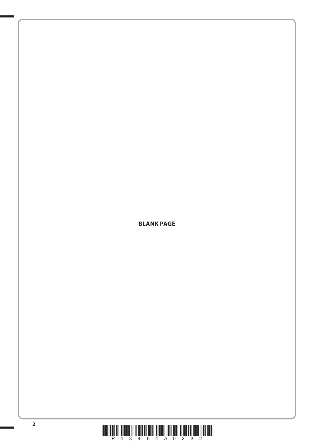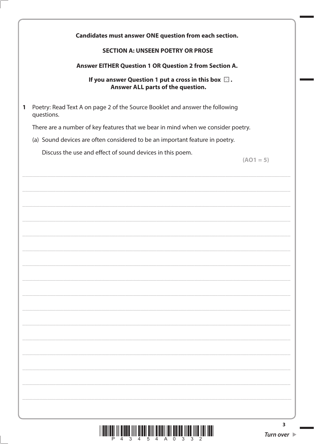| Candidates must answer ONE question from each section.                                              |             |  |  |  |  |  |  |  |
|-----------------------------------------------------------------------------------------------------|-------------|--|--|--|--|--|--|--|
| <b>SECTION A: UNSEEN POETRY OR PROSE</b>                                                            |             |  |  |  |  |  |  |  |
| Answer EITHER Question 1 OR Question 2 from Section A.                                              |             |  |  |  |  |  |  |  |
| If you answer Question 1 put a cross in this box $\boxtimes$ .<br>Answer ALL parts of the question. |             |  |  |  |  |  |  |  |
| Poetry: Read Text A on page 2 of the Source Booklet and answer the following<br>1<br>questions.     |             |  |  |  |  |  |  |  |
| There are a number of key features that we bear in mind when we consider poetry.                    |             |  |  |  |  |  |  |  |
| (a) Sound devices are often considered to be an important feature in poetry.                        |             |  |  |  |  |  |  |  |
| Discuss the use and effect of sound devices in this poem.                                           |             |  |  |  |  |  |  |  |
|                                                                                                     | $(AO1 = 5)$ |  |  |  |  |  |  |  |
|                                                                                                     |             |  |  |  |  |  |  |  |
|                                                                                                     |             |  |  |  |  |  |  |  |
|                                                                                                     |             |  |  |  |  |  |  |  |
|                                                                                                     |             |  |  |  |  |  |  |  |
|                                                                                                     |             |  |  |  |  |  |  |  |
|                                                                                                     |             |  |  |  |  |  |  |  |
|                                                                                                     |             |  |  |  |  |  |  |  |
|                                                                                                     |             |  |  |  |  |  |  |  |
|                                                                                                     |             |  |  |  |  |  |  |  |
|                                                                                                     |             |  |  |  |  |  |  |  |
|                                                                                                     |             |  |  |  |  |  |  |  |
|                                                                                                     |             |  |  |  |  |  |  |  |
|                                                                                                     |             |  |  |  |  |  |  |  |
|                                                                                                     |             |  |  |  |  |  |  |  |
|                                                                                                     |             |  |  |  |  |  |  |  |
|                                                                                                     |             |  |  |  |  |  |  |  |
|                                                                                                     |             |  |  |  |  |  |  |  |
|                                                                                                     |             |  |  |  |  |  |  |  |
|                                                                                                     |             |  |  |  |  |  |  |  |
|                                                                                                     |             |  |  |  |  |  |  |  |



 $\overline{\mathbf{3}}$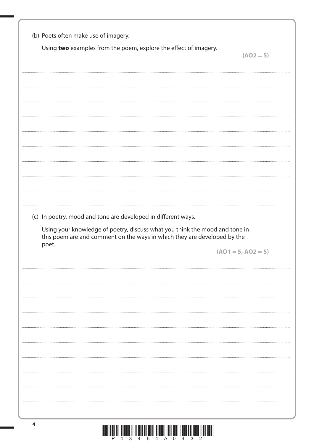|       | Using two examples from the poem, explore the effect of imagery.                                                                                                                                                         |                      |
|-------|--------------------------------------------------------------------------------------------------------------------------------------------------------------------------------------------------------------------------|----------------------|
|       |                                                                                                                                                                                                                          | $(AO2 = 5)$          |
|       |                                                                                                                                                                                                                          |                      |
|       |                                                                                                                                                                                                                          |                      |
|       |                                                                                                                                                                                                                          |                      |
|       |                                                                                                                                                                                                                          |                      |
|       |                                                                                                                                                                                                                          |                      |
|       |                                                                                                                                                                                                                          |                      |
|       |                                                                                                                                                                                                                          |                      |
|       |                                                                                                                                                                                                                          |                      |
|       |                                                                                                                                                                                                                          |                      |
|       |                                                                                                                                                                                                                          |                      |
|       |                                                                                                                                                                                                                          |                      |
|       |                                                                                                                                                                                                                          |                      |
|       |                                                                                                                                                                                                                          |                      |
|       |                                                                                                                                                                                                                          |                      |
|       |                                                                                                                                                                                                                          |                      |
|       |                                                                                                                                                                                                                          |                      |
|       | (c) In poetry, mood and tone are developed in different ways.<br>Using your knowledge of poetry, discuss what you think the mood and tone in<br>this poem are and comment on the ways in which they are developed by the |                      |
| poet. |                                                                                                                                                                                                                          |                      |
|       |                                                                                                                                                                                                                          | $(AO1 = 5, AO2 = 5)$ |
|       |                                                                                                                                                                                                                          |                      |
|       |                                                                                                                                                                                                                          |                      |
|       |                                                                                                                                                                                                                          |                      |
|       |                                                                                                                                                                                                                          |                      |
|       |                                                                                                                                                                                                                          |                      |
|       |                                                                                                                                                                                                                          |                      |
|       |                                                                                                                                                                                                                          |                      |
|       |                                                                                                                                                                                                                          |                      |
|       |                                                                                                                                                                                                                          |                      |
|       |                                                                                                                                                                                                                          |                      |
|       |                                                                                                                                                                                                                          |                      |
|       |                                                                                                                                                                                                                          |                      |
|       |                                                                                                                                                                                                                          |                      |
|       |                                                                                                                                                                                                                          |                      |
|       |                                                                                                                                                                                                                          |                      |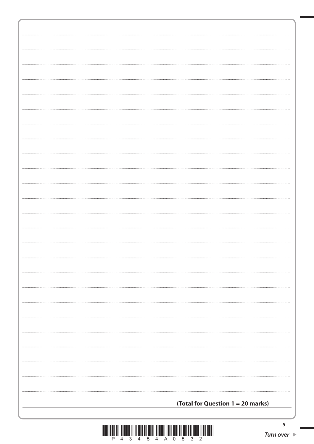

 $\overline{\mathbf{5}}$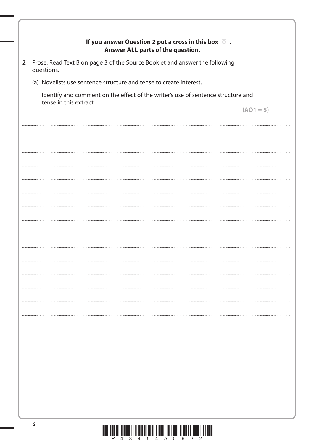|                | If you answer Question 2 put a cross in this box $\boxtimes$ .<br>Answer ALL parts of the question. |  |  |  |  |  |  |  |  |
|----------------|-----------------------------------------------------------------------------------------------------|--|--|--|--|--|--|--|--|
| $\overline{2}$ | Prose: Read Text B on page 3 of the Source Booklet and answer the following<br>questions.           |  |  |  |  |  |  |  |  |
|                | (a) Novelists use sentence structure and tense to create interest.                                  |  |  |  |  |  |  |  |  |
|                | Identify and comment on the effect of the writer's use of sentence structure and                    |  |  |  |  |  |  |  |  |
|                | tense in this extract.<br>$(AO1 = 5)$                                                               |  |  |  |  |  |  |  |  |
|                |                                                                                                     |  |  |  |  |  |  |  |  |
|                |                                                                                                     |  |  |  |  |  |  |  |  |
|                |                                                                                                     |  |  |  |  |  |  |  |  |
|                |                                                                                                     |  |  |  |  |  |  |  |  |
|                |                                                                                                     |  |  |  |  |  |  |  |  |
|                |                                                                                                     |  |  |  |  |  |  |  |  |
|                |                                                                                                     |  |  |  |  |  |  |  |  |
|                |                                                                                                     |  |  |  |  |  |  |  |  |
|                |                                                                                                     |  |  |  |  |  |  |  |  |
|                |                                                                                                     |  |  |  |  |  |  |  |  |
|                |                                                                                                     |  |  |  |  |  |  |  |  |
|                |                                                                                                     |  |  |  |  |  |  |  |  |
|                |                                                                                                     |  |  |  |  |  |  |  |  |
|                |                                                                                                     |  |  |  |  |  |  |  |  |
|                |                                                                                                     |  |  |  |  |  |  |  |  |
|                |                                                                                                     |  |  |  |  |  |  |  |  |
|                |                                                                                                     |  |  |  |  |  |  |  |  |
|                |                                                                                                     |  |  |  |  |  |  |  |  |
|                |                                                                                                     |  |  |  |  |  |  |  |  |
|                |                                                                                                     |  |  |  |  |  |  |  |  |
|                |                                                                                                     |  |  |  |  |  |  |  |  |
|                |                                                                                                     |  |  |  |  |  |  |  |  |
|                |                                                                                                     |  |  |  |  |  |  |  |  |
|                | 6                                                                                                   |  |  |  |  |  |  |  |  |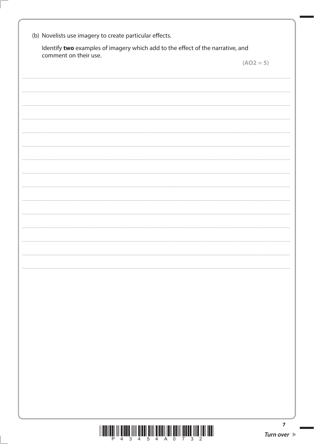| Identify two examples of imagery which add to the effect of the narrative, and |             |  |  |  |
|--------------------------------------------------------------------------------|-------------|--|--|--|
| comment on their use.                                                          | $(AO2 = 5)$ |  |  |  |
|                                                                                |             |  |  |  |
|                                                                                |             |  |  |  |
|                                                                                |             |  |  |  |
|                                                                                |             |  |  |  |
|                                                                                |             |  |  |  |
|                                                                                |             |  |  |  |
|                                                                                |             |  |  |  |
|                                                                                |             |  |  |  |
|                                                                                |             |  |  |  |
|                                                                                |             |  |  |  |
|                                                                                |             |  |  |  |
|                                                                                |             |  |  |  |
|                                                                                |             |  |  |  |
|                                                                                |             |  |  |  |
|                                                                                |             |  |  |  |
|                                                                                |             |  |  |  |
|                                                                                |             |  |  |  |
|                                                                                |             |  |  |  |
|                                                                                |             |  |  |  |
|                                                                                |             |  |  |  |
|                                                                                |             |  |  |  |
|                                                                                |             |  |  |  |
|                                                                                |             |  |  |  |
|                                                                                |             |  |  |  |
|                                                                                |             |  |  |  |
|                                                                                |             |  |  |  |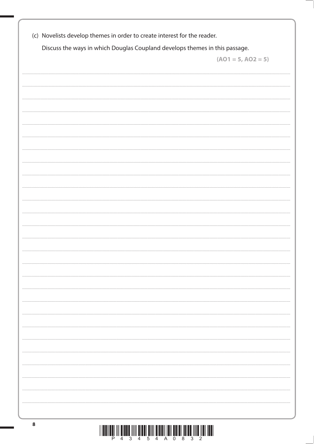| Discuss the ways in which Douglas Coupland develops themes in this passage. |                      |
|-----------------------------------------------------------------------------|----------------------|
|                                                                             | $(AO1 = 5, AO2 = 5)$ |
|                                                                             |                      |
|                                                                             |                      |
|                                                                             |                      |
|                                                                             |                      |
|                                                                             |                      |
|                                                                             |                      |
|                                                                             |                      |
|                                                                             |                      |
|                                                                             |                      |
|                                                                             |                      |
|                                                                             |                      |
|                                                                             |                      |
|                                                                             |                      |
|                                                                             |                      |
|                                                                             |                      |
|                                                                             |                      |
|                                                                             |                      |
|                                                                             |                      |
|                                                                             |                      |
|                                                                             |                      |
|                                                                             |                      |
|                                                                             |                      |
|                                                                             |                      |
|                                                                             |                      |
|                                                                             |                      |
|                                                                             |                      |
|                                                                             |                      |
|                                                                             |                      |
|                                                                             |                      |
|                                                                             |                      |
|                                                                             |                      |
|                                                                             |                      |
|                                                                             |                      |
|                                                                             |                      |
|                                                                             |                      |
|                                                                             |                      |
|                                                                             |                      |
|                                                                             |                      |
|                                                                             |                      |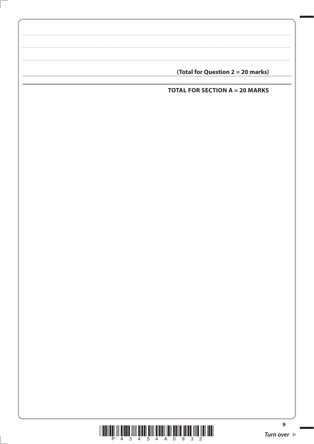

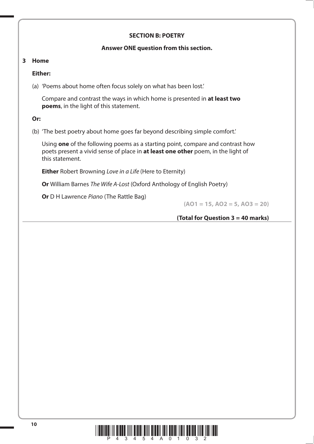## **SECTION B: POETRY**

#### **Answer ONE question from this section.**

#### **3 Home**

#### **Either:**

(a) 'Poems about home often focus solely on what has been lost.'

 Compare and contrast the ways in which home is presented in **at least two poems**, in the light of this statement.

## **Or:**

(b) 'The best poetry about home goes far beyond describing simple comfort.'

 Using **one** of the following poems as a starting point, compare and contrast how poets present a vivid sense of place in **at least one other** poem, in the light of this statement.

**Either** Robert Browning Love in a Life (Here to Eternity)

**Or** William Barnes The Wife A-Lost (Oxford Anthology of English Poetry)

**Or** D H Lawrence Piano (The Rattle Bag)

**(AO1 = 15, AO2 = 5, AO3 = 20)**

#### **(Total for Question 3 = 40 marks)**

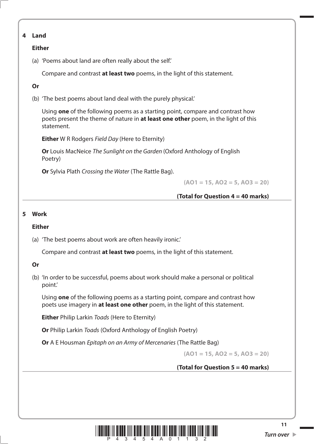#### **4 Land**

# **Either**

(a) 'Poems about land are often really about the self.'

Compare and contrast **at least two** poems, in the light of this statement.

# **Or**

(b) 'The best poems about land deal with the purely physical.'

 Using **one** of the following poems as a starting point, compare and contrast how poets present the theme of nature in **at least one other** poem, in the light of this statement.

**Either** W R Rodgers Field Day (Here to Eternity)

 **Or** Louis MacNeice The Sunlight on the Garden (Oxford Anthology of English Poetry)

**Or** Sylvia Plath Crossing the Water (The Rattle Bag).

**(AO1 = 15, AO2 = 5, AO3 = 20)**

## **(Total for Question 4 = 40 marks)**

#### **5 Work**

#### **Either**

(a) 'The best poems about work are often heavily ironic.'

Compare and contrast **at least two** poems, in the light of this statement.

# **Or**

(b) 'In order to be successful, poems about work should make a personal or political point.'

 Using **one** of the following poems as a starting point, compare and contrast how poets use imagery in **at least one other** poem, in the light of this statement.

**Either** Philip Larkin Toads (Here to Eternity)

 **Or** Philip Larkin Toads (Oxford Anthology of English Poetry)

 **Or** A E Housman Epitaph on an Army of Mercenaries (The Rattle Bag)

**(AO1 = 15, AO2 = 5, AO3 = 20)**

# **(Total for Question 5 = 40 marks)**

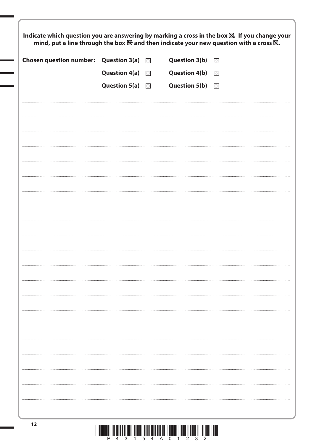| Indicate which question you are answering by marking a cross in the box $\boxtimes$ . If you change your<br>mind, put a line through the box $\boxtimes$ and then indicate your new question with a cross $\boxtimes$ . |                 |  |                 |  |  |  |  |  |  |  |
|-------------------------------------------------------------------------------------------------------------------------------------------------------------------------------------------------------------------------|-----------------|--|-----------------|--|--|--|--|--|--|--|
| Chosen question number: Question 3(a) $\blacksquare$                                                                                                                                                                    |                 |  | Question $3(b)$ |  |  |  |  |  |  |  |
|                                                                                                                                                                                                                         | Question $4(a)$ |  | Question $4(b)$ |  |  |  |  |  |  |  |
|                                                                                                                                                                                                                         | Question $5(a)$ |  | Question $5(b)$ |  |  |  |  |  |  |  |
|                                                                                                                                                                                                                         |                 |  |                 |  |  |  |  |  |  |  |
|                                                                                                                                                                                                                         |                 |  |                 |  |  |  |  |  |  |  |
|                                                                                                                                                                                                                         |                 |  |                 |  |  |  |  |  |  |  |
|                                                                                                                                                                                                                         |                 |  |                 |  |  |  |  |  |  |  |
|                                                                                                                                                                                                                         |                 |  |                 |  |  |  |  |  |  |  |
|                                                                                                                                                                                                                         |                 |  |                 |  |  |  |  |  |  |  |
|                                                                                                                                                                                                                         |                 |  |                 |  |  |  |  |  |  |  |
|                                                                                                                                                                                                                         |                 |  |                 |  |  |  |  |  |  |  |
|                                                                                                                                                                                                                         |                 |  |                 |  |  |  |  |  |  |  |
|                                                                                                                                                                                                                         |                 |  |                 |  |  |  |  |  |  |  |
|                                                                                                                                                                                                                         |                 |  |                 |  |  |  |  |  |  |  |
|                                                                                                                                                                                                                         |                 |  |                 |  |  |  |  |  |  |  |
|                                                                                                                                                                                                                         |                 |  |                 |  |  |  |  |  |  |  |
|                                                                                                                                                                                                                         |                 |  |                 |  |  |  |  |  |  |  |
|                                                                                                                                                                                                                         |                 |  |                 |  |  |  |  |  |  |  |
|                                                                                                                                                                                                                         |                 |  |                 |  |  |  |  |  |  |  |
|                                                                                                                                                                                                                         |                 |  |                 |  |  |  |  |  |  |  |
|                                                                                                                                                                                                                         |                 |  |                 |  |  |  |  |  |  |  |
|                                                                                                                                                                                                                         |                 |  |                 |  |  |  |  |  |  |  |
|                                                                                                                                                                                                                         |                 |  |                 |  |  |  |  |  |  |  |
|                                                                                                                                                                                                                         |                 |  |                 |  |  |  |  |  |  |  |
|                                                                                                                                                                                                                         |                 |  |                 |  |  |  |  |  |  |  |
|                                                                                                                                                                                                                         |                 |  |                 |  |  |  |  |  |  |  |
|                                                                                                                                                                                                                         |                 |  |                 |  |  |  |  |  |  |  |
|                                                                                                                                                                                                                         |                 |  |                 |  |  |  |  |  |  |  |
| 12                                                                                                                                                                                                                      |                 |  |                 |  |  |  |  |  |  |  |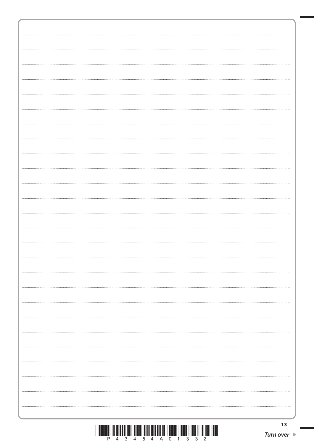| <u> I III METHIKI III MATERIALI III MATERIALI III MATERIALI II MATERIALI II MATERIALI II MATERIALI II M</u> |                         |  |  |  |  |  |  |
|-------------------------------------------------------------------------------------------------------------|-------------------------|--|--|--|--|--|--|
|                                                                                                             | P 4 3 4 5 4 A 0 1 3 3 2 |  |  |  |  |  |  |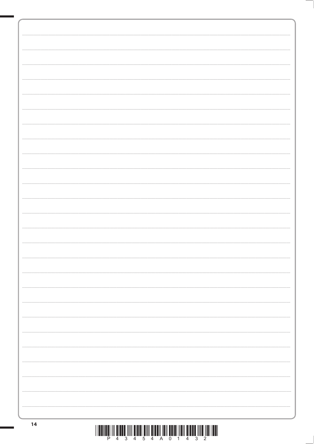| 14 | <u> I IT AN EIN DIE DIE DER TIJDE ALDER DIE DIE DIE BEIER IN DIE BIJDE IN DIE INDERSTE</u> |
|----|--------------------------------------------------------------------------------------------|

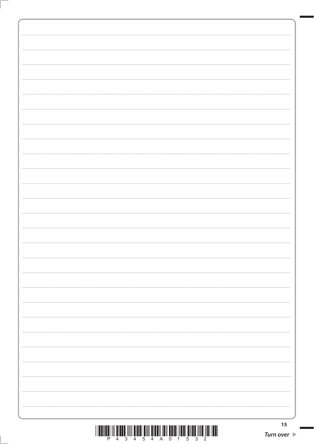| <u> I II dhe ka shekarar kata ka shekarar ka shekarar ka shekarar ka shekarar ka shekarar ka shekarar ka shekara</u> |  |  |                         |  |  |  |
|----------------------------------------------------------------------------------------------------------------------|--|--|-------------------------|--|--|--|
|                                                                                                                      |  |  | P 4 3 4 5 4 A 0 1 5 3 2 |  |  |  |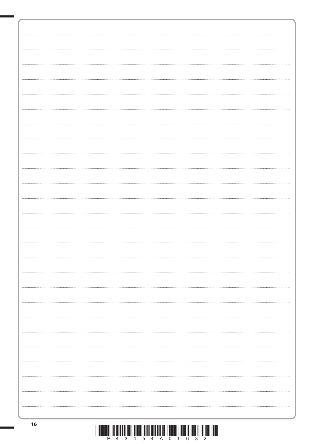| $16$ | I TERMINEN IN RICHE INITERES BINI BIRDII TEN BETEL ITETE BITER INIE TEN TERT |
|------|------------------------------------------------------------------------------|

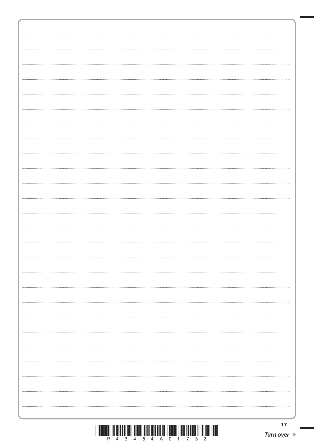| <u> I III dheer iyo dhamaan iyo ahaan iyo dhamaan iyo dhamaan iyo dhamaan iyo dhamaan iyo dhamaan iyo dhamaan iyo</u> |  |  |  |                         |  |  |
|-----------------------------------------------------------------------------------------------------------------------|--|--|--|-------------------------|--|--|
|                                                                                                                       |  |  |  | P 4 3 4 5 4 A 0 1 7 3 2 |  |  |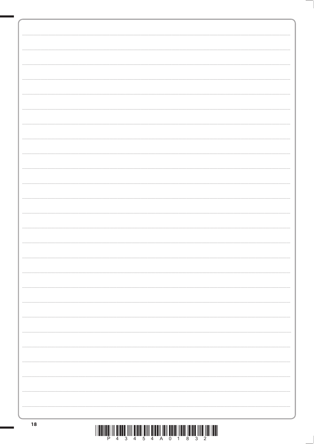| 18 |  |
|----|--|
|    |  |
|    |  |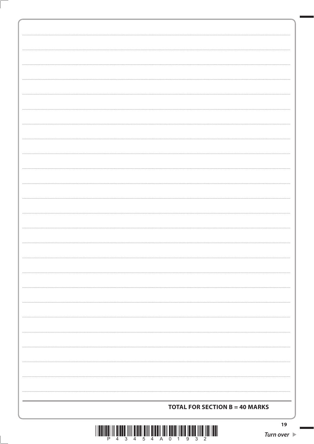

| <b>TOTAL FOR SECTION B = 40 MARKS</b> |
|---------------------------------------|
|                                       |
| 19                                    |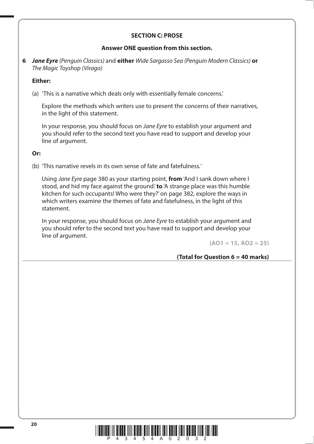## **SECTION C: PROSE**

#### **Answer ONE question from this section.**

**6 Jane Eyre** (Penguin Classics) and **either** Wide Sargasso Sea (Penguin Modern Classics) **or**  The Magic Toyshop (Virago)

#### **Either:**

(a) 'This is a narrative which deals only with essentially female concerns.'

 Explore the methods which writers use to present the concerns of their narratives, in the light of this statement.

In your response, you should focus on *Jane Eyre* to establish your argument and you should refer to the second text you have read to support and develop your line of argument.

## **Or:**

(b) 'This narrative revels in its own sense of fate and fatefulness.'

 Using Jane Eyre page 380 as your starting point, **from** 'And I sank down where I stood, and hid my face against the ground.' **to** 'A strange place was this humble kitchen for such occupants! Who were they?' on page 382, explore the ways in which writers examine the themes of fate and fatefulness, in the light of this statement.

 In your response, you should focus on Jane Eyre to establish your argument and you should refer to the second text you have read to support and develop your line of argument.

**(AO1 = 15, AO2 = 25)**

**(Total for Question 6 = 40 marks)**

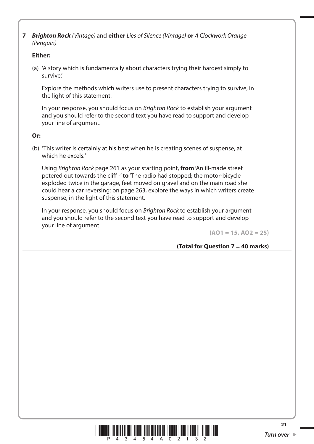**7 Brighton Rock** (Vintage) and **either** Lies of Silence (Vintage) **or** A Clockwork Orange (Penguin)

## **Either:**

(a) 'A story which is fundamentally about characters trying their hardest simply to survive.'

 Explore the methods which writers use to present characters trying to survive, in the light of this statement.

 In your response, you should focus on Brighton Rock to establish your argument and you should refer to the second text you have read to support and develop your line of argument.

# **Or:**

(b) 'This writer is certainly at his best when he is creating scenes of suspense, at which he excels.'

 Using Brighton Rock page 261 as your starting point, **from** 'An ill-made street petered out towards the cliff -' **to** 'The radio had stopped; the motor-bicycle exploded twice in the garage, feet moved on gravel and on the main road she could hear a car reversing.' on page 263, explore the ways in which writers create suspense, in the light of this statement.

 In your response, you should focus on Brighton Rock to establish your argument and you should refer to the second text you have read to support and develop your line of argument.

**(AO1 = 15, AO2 = 25)**

**(Total for Question 7 = 40 marks)**

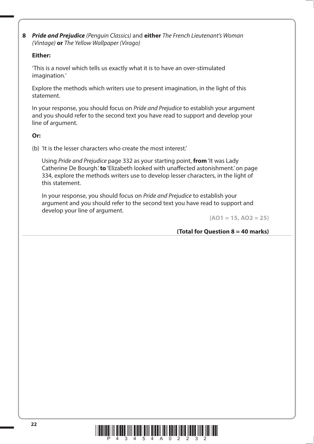**8 Pride and Prejudice** (Penguin Classics) and **either** The French Lieutenant's Woman (Vintage) **or** The Yellow Wallpaper (Virago)

#### **Either:**

 'This is a novel which tells us exactly what it is to have an over-stimulated imagination.'

 Explore the methods which writers use to present imagination, in the light of this statement.

 In your response, you should focus on Pride and Prejudice to establish your argument and you should refer to the second text you have read to support and develop your line of argument.

## **Or:**

(b) 'It is the lesser characters who create the most interest.'

 Using Pride and Prejudice page 332 as your starting point, **from** 'It was Lady Catherine De Bourgh.' **to** 'Elizabeth looked with unaffected astonishment.' on page 334, explore the methods writers use to develop lesser characters, in the light of this statement.

 In your response, you should focus on Pride and Prejudice to establish your argument and you should refer to the second text you have read to support and develop your line of argument.

**(AO1 = 15, AO2 = 25)**

**(Total for Question 8 = 40 marks)**

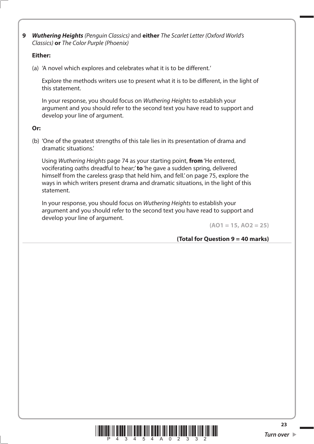**9 Wuthering Heights** (Penguin Classics) and **either** The Scarlet Letter (Oxford World's Classics) **or** The Color Purple (Phoenix)

#### **Either:**

(a) 'A novel which explores and celebrates what it is to be different.'

 Explore the methods writers use to present what it is to be different, in the light of this statement.

 In your response, you should focus on Wuthering Heights to establish your argument and you should refer to the second text you have read to support and develop your line of argument.

## **Or:**

(b) 'One of the greatest strengths of this tale lies in its presentation of drama and dramatic situations.'

 Using Wuthering Heights page 74 as your starting point, **from** 'He entered, vociferating oaths dreadful to hear;' **to** 'he gave a sudden spring, delivered himself from the careless grasp that held him, and fell.' on page 75, explore the ways in which writers present drama and dramatic situations, in the light of this statement.

 In your response, you should focus on Wuthering Heights to establish your argument and you should refer to the second text you have read to support and develop your line of argument.

**(AO1 = 15, AO2 = 25)**

**(Total for Question 9 = 40 marks)**

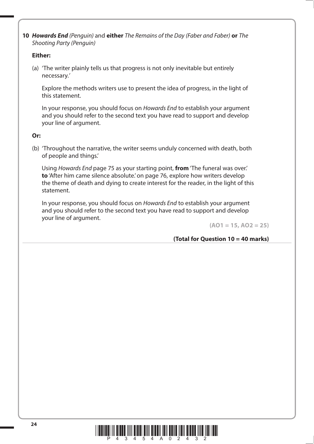**10 Howards End** (Penguin) and **either** The Remains of the Day (Faber and Faber) **or** The Shooting Party (Penguin)

#### **Either:**

(a) 'The writer plainly tells us that progress is not only inevitable but entirely necessary.'

 Explore the methods writers use to present the idea of progress, in the light of this statement.

 In your response, you should focus on Howards End to establish your argument and you should refer to the second text you have read to support and develop your line of argument.

## **Or:**

(b) 'Throughout the narrative, the writer seems unduly concerned with death, both of people and things.'

 Using Howards End page 75 as your starting point, **from** 'The funeral was over.' **to** 'After him came silence absolute.' on page 76, explore how writers develop the theme of death and dying to create interest for the reader, in the light of this statement.

In your response, you should focus on Howards End to establish your argument and you should refer to the second text you have read to support and develop your line of argument.

 **(AO1 = 15, AO2 = 25)**

**(Total for Question 10 = 40 marks)**

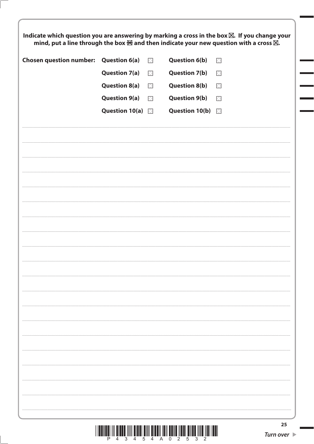| Indicate which question you are answering by marking a cross in the box $\boxtimes$ . If you change your |                            |             |                              | mind, put a line through the box $\boxtimes$ and then indicate your new question with a cross $\boxtimes$ . |    |
|----------------------------------------------------------------------------------------------------------|----------------------------|-------------|------------------------------|-------------------------------------------------------------------------------------------------------------|----|
| Chosen question number: Question 6(a) $\Box$                                                             |                            |             | <b>Question 6(b)</b>         | $\times$                                                                                                    |    |
|                                                                                                          | <b>Question 7(a)</b>       | $\times$    | Question 7(b) <b>Example</b> |                                                                                                             |    |
|                                                                                                          | <b>Question 8(a)</b>       | $\boxtimes$ | Question 8(b)                |                                                                                                             |    |
|                                                                                                          | <b>Question 9(a)</b>       | $\times$    | <b>Question 9(b)</b>         | $\times$                                                                                                    |    |
|                                                                                                          | Question 10(a) $\boxtimes$ |             | Question 10(b) $\boxtimes$   |                                                                                                             |    |
|                                                                                                          |                            |             |                              |                                                                                                             |    |
|                                                                                                          |                            |             |                              |                                                                                                             |    |
|                                                                                                          |                            |             |                              |                                                                                                             |    |
|                                                                                                          |                            |             |                              |                                                                                                             |    |
|                                                                                                          |                            |             |                              |                                                                                                             |    |
|                                                                                                          |                            |             |                              |                                                                                                             |    |
|                                                                                                          |                            |             |                              |                                                                                                             |    |
|                                                                                                          |                            |             |                              |                                                                                                             |    |
|                                                                                                          |                            |             |                              |                                                                                                             |    |
|                                                                                                          |                            |             |                              |                                                                                                             |    |
|                                                                                                          |                            |             |                              |                                                                                                             |    |
|                                                                                                          |                            |             |                              |                                                                                                             |    |
|                                                                                                          |                            |             |                              |                                                                                                             |    |
|                                                                                                          |                            |             |                              |                                                                                                             |    |
|                                                                                                          |                            |             |                              |                                                                                                             |    |
|                                                                                                          |                            |             |                              |                                                                                                             |    |
|                                                                                                          |                            |             |                              |                                                                                                             |    |
|                                                                                                          |                            |             |                              |                                                                                                             |    |
|                                                                                                          |                            |             |                              |                                                                                                             |    |
|                                                                                                          |                            |             |                              |                                                                                                             |    |
|                                                                                                          |                            |             |                              |                                                                                                             |    |
|                                                                                                          |                            |             |                              |                                                                                                             |    |
|                                                                                                          |                            |             |                              |                                                                                                             |    |
|                                                                                                          |                            |             |                              |                                                                                                             | 25 |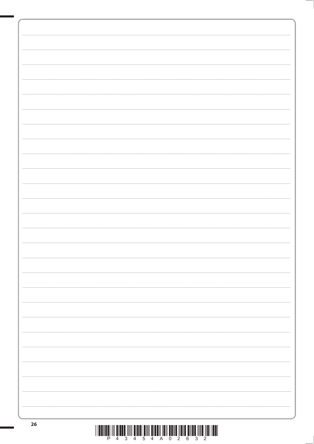| 26 |  |
|----|--|
|    |  |
|    |  |
|    |  |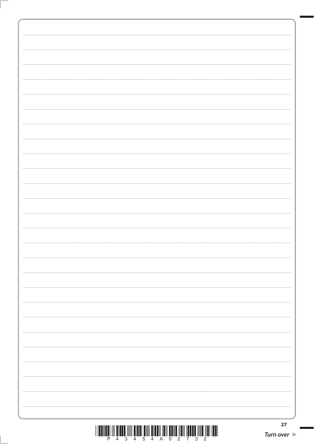|  |  |  | P 4 3 4 5 4 A 0 2 7 3 2 |  |  |  |
|--|--|--|-------------------------|--|--|--|

| 27 |
|----|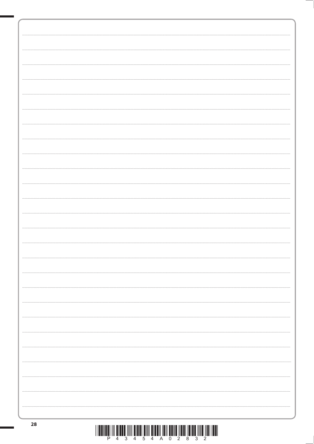| 28 |  |  |
|----|--|--|
|    |  |  |
|    |  |  |
|    |  |  |
|    |  |  |
|    |  |  |
|    |  |  |
|    |  |  |
|    |  |  |
|    |  |  |
|    |  |  |
|    |  |  |
|    |  |  |
|    |  |  |
|    |  |  |
|    |  |  |
|    |  |  |
|    |  |  |
|    |  |  |
|    |  |  |
|    |  |  |
|    |  |  |
|    |  |  |
|    |  |  |
|    |  |  |
|    |  |  |
|    |  |  |
|    |  |  |
|    |  |  |
|    |  |  |
|    |  |  |
|    |  |  |
|    |  |  |
|    |  |  |
|    |  |  |
|    |  |  |
|    |  |  |
|    |  |  |
|    |  |  |
|    |  |  |
|    |  |  |
|    |  |  |
|    |  |  |
|    |  |  |
|    |  |  |
|    |  |  |
|    |  |  |
|    |  |  |
|    |  |  |
|    |  |  |
|    |  |  |
|    |  |  |
|    |  |  |
|    |  |  |
|    |  |  |
|    |  |  |
|    |  |  |
|    |  |  |
|    |  |  |
|    |  |  |
|    |  |  |
|    |  |  |
|    |  |  |
|    |  |  |
|    |  |  |
|    |  |  |
|    |  |  |
|    |  |  |
|    |  |  |
|    |  |  |
|    |  |  |
|    |  |  |
|    |  |  |
|    |  |  |
|    |  |  |
|    |  |  |
|    |  |  |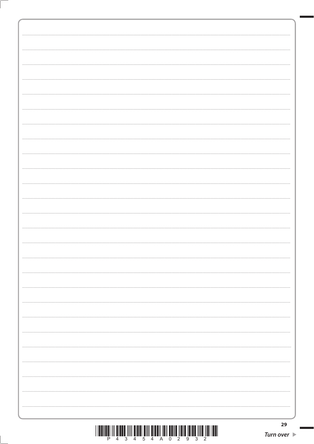| <u> III dheer ili dhaa iliil dhah diil dhah dhi dhii dhig ilaa hala iliid hal ila</u> |                 |  |  |  |  |  |  |
|---------------------------------------------------------------------------------------|-----------------|--|--|--|--|--|--|
|                                                                                       | 4 3 4 5 4 A 0 2 |  |  |  |  |  |  |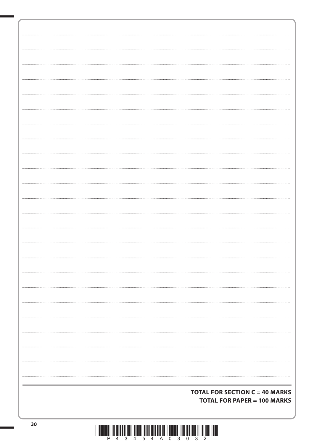| 30 |                                                                             |
|----|-----------------------------------------------------------------------------|
|    | <b>TOTAL FOR SECTION C = 40 MARKS</b><br><b>TOTAL FOR PAPER = 100 MARKS</b> |
|    |                                                                             |
|    |                                                                             |
|    |                                                                             |
|    |                                                                             |
|    |                                                                             |
|    |                                                                             |
|    |                                                                             |
|    |                                                                             |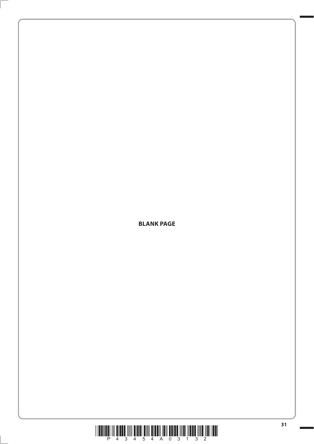

**BLANK PAGE**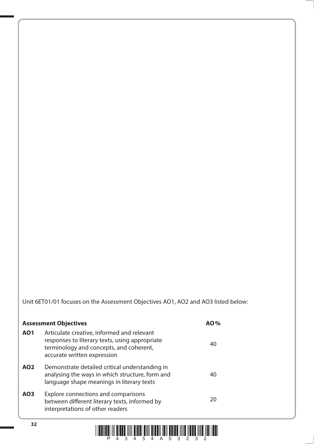Unit 6ET01/01 focuses on the Assessment Objectives AO1, AO2 and AO3 listed below:

| <b>Assessment Objectives</b> |                                                                                                                                                                        | AO% |
|------------------------------|------------------------------------------------------------------------------------------------------------------------------------------------------------------------|-----|
| AO1                          | Articulate creative, informed and relevant<br>responses to literary texts, using appropriate<br>terminology and concepts, and coherent,<br>accurate written expression | 40  |
| AO <sub>2</sub>              | Demonstrate detailed critical understanding in<br>analysing the ways in which structure, form and<br>language shape meanings in literary texts                         | 40  |
| AO <sub>3</sub>              | Explore connections and comparisons<br>between different literary texts, informed by<br>interpretations of other readers                                               | 20  |

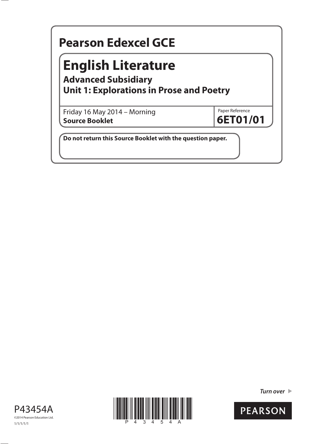| <b>English Literature</b>                       |                 |
|-------------------------------------------------|-----------------|
| <b>Advanced Subsidiary</b>                      |                 |
| <b>Unit 1: Explorations in Prose and Poetry</b> |                 |
|                                                 | Paper Reference |
| Friday 16 May 2014 – Morning                    | 6ET01/01        |





*Turn over* 

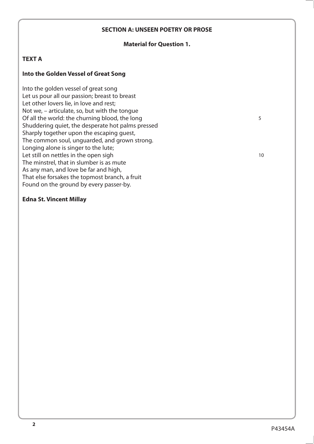## **SECTION A: UNSEEN POETRY OR PROSE**

## **Material for Question 1.**

# **TEXT A**

#### **Into the Golden Vessel of Great Song**

Into the golden vessel of great song Let us pour all our passion; breast to breast Let other lovers lie, in love and rest; Not we, – articulate, so, but with the tongue Of all the world: the churning blood, the long Shuddering quiet, the desperate hot palms pressed Sharply together upon the escaping guest, The common soul, unguarded, and grown strong. Longing alone is singer to the lute; Let still on nettles in the open sigh The minstrel, that in slumber is as mute As any man, and love be far and high, That else forsakes the topmost branch, a fruit Found on the ground by every passer-by.

#### **Edna St. Vincent Millay**

10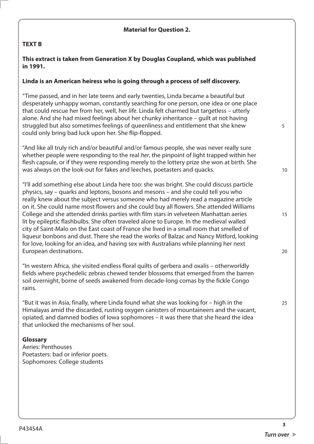## **Material for Question 2.**

# **TEXT B**

# **This extract is taken from Generation X by Douglas Coupland, which was published in 1991.**

# **Linda is an American heiress who is going through a process of self discovery.**

"Time passed, and in her late teens and early twenties, Linda became a beautiful but desperately unhappy woman, constantly searching for one person, one idea or one place that could rescue her from her, well, her life. Linda felt charmed but targetless – utterly alone. And she had mixed feelings about her chunky inheritance – guilt at not having struggled but also sometimes feelings of queenliness and entitlement that she knew could only bring bad luck upon her. She flip-flopped.

"And like all truly rich and/or beautiful and/or famous people, she was never really sure whether people were responding to the real *her*, the pinpoint of light trapped within her flesh capsule, or if they were responding merely to the lottery prize she won at birth. She was always on the look-out for fakes and leeches, poetasters and quacks.

"I'll add something else about Linda here too: she was bright. She could discuss particle physics, say – quarks and leptons, bosons and mesons – and she could tell you who really knew about the subject versus someone who had merely read a magazine article on it. She could name most flowers and she could buy all flowers. She attended Williams College and she attended drinks parties with film stars in velveteen Manhattan aeries lit by epileptic flashbulbs. She often traveled alone to Europe. In the medieval walled city of Saint-Malo on the East coast of France she lived in a small room that smelled of liqueur bonbons and dust. There she read the works of Balzac and Nancy Mitford, looking for love, looking for an idea, and having sex with Australians while planning her next European destinations.

"In western Africa, she visited endless floral quilts of gerbera and oxalis – otherworldly fields where psychedelic zebras chewed tender blossoms that emerged from the barren soil overnight, borne of seeds awakened from decade-long comas by the fickle Congo rains.

"But it was in Asia, finally, where Linda found what she was looking for – high in the Himalayas amid the discarded, rusting oxygen canisters of mountaineers and the vacant, opiated, and damned bodies of Iowa sophomores – it was there that she heard the idea that unlocked the mechanisms of her soul.

#### **Glossary**

Aeries: Penthouses Poetasters: bad or inferior poets. Sophomores: College students

**3**

5

10

15

20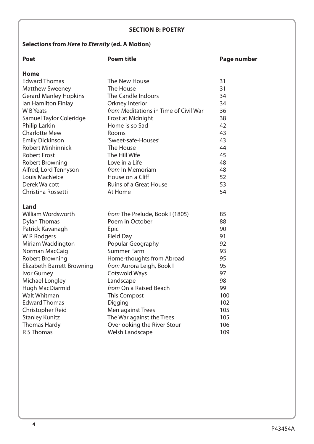# **SECTION B: POETRY**

# **Selections from Here to Eternity (ed. A Motion)**

| <b>Poet</b>                  | <b>Poem title</b>                     | Page number |
|------------------------------|---------------------------------------|-------------|
| Home                         |                                       |             |
| <b>Edward Thomas</b>         | The New House                         | 31          |
| <b>Matthew Sweeney</b>       | The House                             | 31          |
| <b>Gerard Manley Hopkins</b> | The Candle Indoors                    | 34          |
| Ian Hamilton Finlay          | Orkney Interior                       | 34          |
| <b>W</b> B Yeats             | from Meditations in Time of Civil War | 36          |
| Samuel Taylor Coleridge      | Frost at Midnight                     | 38          |
| Philip Larkin                | Home is so Sad                        | 42          |
| <b>Charlotte Mew</b>         | Rooms                                 | 43          |
| <b>Emily Dickinson</b>       | 'Sweet-safe-Houses'                   | 43          |
| <b>Robert Minhinnick</b>     | The House                             | 44          |
| <b>Robert Frost</b>          | The Hill Wife                         | 45          |
| <b>Robert Browning</b>       | Love in a Life                        | 48          |
| Alfred, Lord Tennyson        | from In Memoriam                      | 48          |
| Louis MacNeice               | House on a Cliff                      | 52          |
| <b>Derek Walcott</b>         | <b>Ruins of a Great House</b>         | 53          |
| Christina Rossetti           | At Home                               | 54          |
| Land                         |                                       |             |
| <b>William Wordsworth</b>    | from The Prelude, Book I (1805)       | 85          |
| <b>Dylan Thomas</b>          | Poem in October                       | 88          |
| Patrick Kavanagh             | Epic                                  | 90          |
| <b>W</b> R Rodgers           | <b>Field Day</b>                      | 91          |
| Miriam Waddington            | Popular Geography                     | 92          |
| Norman MacCaig               | <b>Summer Farm</b>                    | 93          |
| <b>Robert Browning</b>       | Home-thoughts from Abroad             | 95          |
| Elizabeth Barrett Browning   | from Aurora Leigh, Book I             | 95          |
| Ivor Gurney                  | Cotswold Ways                         | 97          |
| Michael Longley              | Landscape                             | 98          |
| Hugh MacDiarmid              | from On a Raised Beach                | 99          |
| Walt Whitman                 | This Compost                          | 100         |
| <b>Edward Thomas</b>         | Digging                               | 102         |
| Christopher Reid             | Men against Trees                     | 105         |
| <b>Stanley Kunitz</b>        | The War against the Trees             | 105         |
| <b>Thomas Hardy</b>          | Overlooking the River Stour           | 106         |
| R S Thomas                   | Welsh Landscape                       | 109         |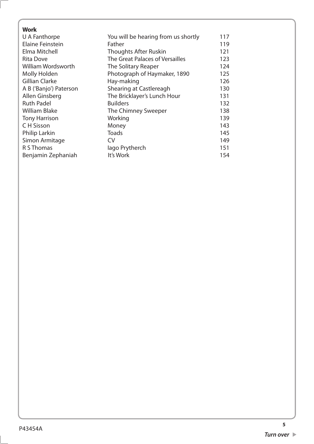# **Work**

| <b>VVUIR</b>              |                                     |     |
|---------------------------|-------------------------------------|-----|
| U A Fanthorpe             | You will be hearing from us shortly | 117 |
| <b>Elaine Feinstein</b>   | Father                              | 119 |
| Elma Mitchell             | <b>Thoughts After Ruskin</b>        | 121 |
| <b>Rita Dove</b>          | The Great Palaces of Versailles     | 123 |
| <b>William Wordsworth</b> | The Solitary Reaper                 | 124 |
| Molly Holden              | Photograph of Haymaker, 1890        | 125 |
| <b>Gillian Clarke</b>     | Hay-making                          | 126 |
| A B ('Banjo') Paterson    | Shearing at Castlereagh             | 130 |
| Allen Ginsberg            | The Bricklayer's Lunch Hour         | 131 |
| <b>Ruth Padel</b>         | <b>Builders</b>                     | 132 |
| William Blake             | The Chimney Sweeper                 | 138 |
| <b>Tony Harrison</b>      | Working                             | 139 |
| CH Sisson                 | Money                               | 143 |
| Philip Larkin             | Toads                               | 145 |
| Simon Armitage            | <b>CV</b>                           | 149 |
| R S Thomas                | lago Prytherch                      | 151 |
| Benjamin Zephaniah        | It's Work                           | 154 |
|                           |                                     |     |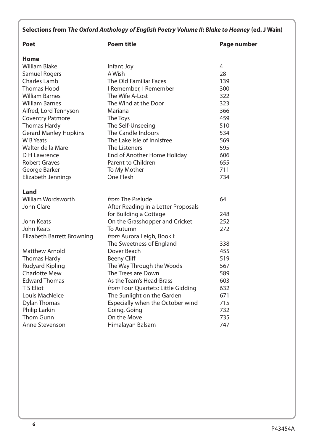# **Selections from The Oxford Anthology of English Poetry Volume II: Blake to Heaney (ed. J Wain)**

| <b>Poet</b>                  | <b>Poem title</b>                   | Page number |
|------------------------------|-------------------------------------|-------------|
| <b>Home</b>                  |                                     |             |
| <b>William Blake</b>         | Infant Joy                          | 4           |
| Samuel Rogers                | A Wish                              | 28          |
| <b>Charles Lamb</b>          | The Old Familiar Faces              | 139         |
| <b>Thomas Hood</b>           | I Remember, I Remember              | 300         |
| <b>William Barnes</b>        | The Wife A-Lost                     | 322         |
| <b>William Barnes</b>        | The Wind at the Door                | 323         |
| Alfred, Lord Tennyson        | Mariana                             | 366         |
| <b>Coventry Patmore</b>      | The Toys                            | 459         |
| <b>Thomas Hardy</b>          | The Self-Unseeing                   | 510         |
| <b>Gerard Manley Hopkins</b> | The Candle Indoors                  | 534         |
| <b>W B Yeats</b>             | The Lake Isle of Innisfree          | 569         |
| Walter de la Mare            | The Listeners                       | 595         |
| D H Lawrence                 | End of Another Home Holiday         | 606         |
| <b>Robert Graves</b>         | Parent to Children                  | 655         |
| George Barker                | To My Mother                        | 711         |
| Elizabeth Jennings           | One Flesh                           | 734         |
| Land                         |                                     |             |
| <b>William Wordsworth</b>    | from The Prelude                    | 64          |
| John Clare                   | After Reading in a Letter Proposals |             |
|                              | for Building a Cottage              | 248         |
| John Keats                   | On the Grasshopper and Cricket      | 252         |
| <b>John Keats</b>            | <b>To Autumn</b>                    | 272         |
| Elizabeth Barrett Browning   | from Aurora Leigh, Book I:          |             |
|                              | The Sweetness of England            | 338         |
| <b>Matthew Arnold</b>        | Dover Beach                         | 455         |
| <b>Thomas Hardy</b>          | <b>Beeny Cliff</b>                  | 519         |
| <b>Rudyard Kipling</b>       | The Way Through the Woods           | 567         |
| Charlotte Mew                | The Trees are Down                  | 589         |
| <b>Edward Thomas</b>         | As the Team's Head-Brass            | 603         |
| T S Eliot                    | from Four Quartets: Little Gidding  | 632         |
|                              |                                     |             |
| Louis MacNeice               |                                     |             |
|                              | The Sunlight on the Garden          | 671         |
| <b>Dylan Thomas</b>          | Especially when the October wind    | 715         |
| Philip Larkin<br>Thom Gunn   | Going, Going<br>On the Move         | 732<br>735  |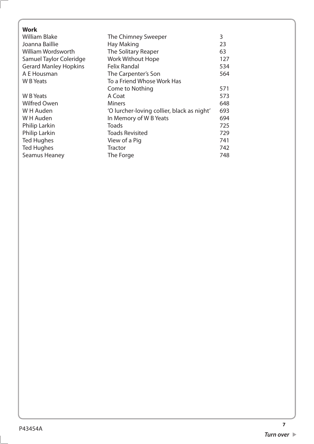| <b>Work</b>                  |                                            |     |
|------------------------------|--------------------------------------------|-----|
| <b>William Blake</b>         | The Chimney Sweeper                        | 3   |
| Joanna Baillie               | Hay Making                                 | 23  |
| William Wordsworth           | The Solitary Reaper                        | 63  |
| Samuel Taylor Coleridge      | <b>Work Without Hope</b>                   | 127 |
| <b>Gerard Manley Hopkins</b> | <b>Felix Randal</b>                        | 534 |
| A E Housman                  | The Carpenter's Son                        | 564 |
| <b>W</b> B Yeats             | To a Friend Whose Work Has                 |     |
|                              | Come to Nothing                            | 571 |
| W B Yeats                    | A Coat                                     | 573 |
| <b>Wilfred Owen</b>          | Miners                                     | 648 |
| W H Auden                    | 'O lurcher-loving collier, black as night' | 693 |
| W H Auden                    | In Memory of W B Yeats                     | 694 |
| <b>Philip Larkin</b>         | Toads                                      | 725 |
| Philip Larkin                | <b>Toads Revisited</b>                     | 729 |
| <b>Ted Hughes</b>            | View of a Pig                              | 741 |
| <b>Ted Hughes</b>            | <b>Tractor</b>                             | 742 |
| Seamus Heaney                | The Forge                                  | 748 |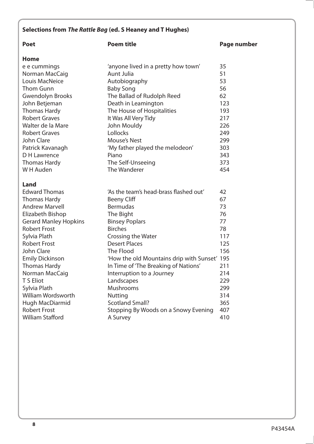# **Selections from The Rattle Bag (ed. S Heaney and T Hughes)**

| <b>Poet</b>                  | <b>Poem title</b>                            | Page number |
|------------------------------|----------------------------------------------|-------------|
| Home                         |                                              |             |
| e e cummings                 | 'anyone lived in a pretty how town'          | 35          |
| Norman MacCaig               | Aunt Julia                                   | 51          |
| Louis MacNeice               | Autobiography                                | 53          |
| <b>Thom Gunn</b>             | <b>Baby Song</b>                             | 56          |
| <b>Gwendolyn Brooks</b>      | The Ballad of Rudolph Reed                   | 62          |
| John Betjeman                | Death in Leamington                          | 123         |
| <b>Thomas Hardy</b>          | The House of Hospitalities                   | 193         |
| <b>Robert Graves</b>         | It Was All Very Tidy                         | 217         |
| Walter de la Mare            | John Mouldy                                  | 226         |
| <b>Robert Graves</b>         | Lollocks                                     | 249         |
| John Clare                   | <b>Mouse's Nest</b>                          | 299         |
| Patrick Kavanagh             | 'My father played the melodeon'              | 303         |
| D H Lawrence                 | Piano                                        | 343         |
| <b>Thomas Hardy</b>          | The Self-Unseeing                            | 373         |
| W H Auden                    | The Wanderer                                 | 454         |
| Land                         |                                              |             |
| <b>Edward Thomas</b>         | 'As the team's head-brass flashed out'       | 42          |
| <b>Thomas Hardy</b>          | <b>Beeny Cliff</b>                           | 67          |
| <b>Andrew Marvell</b>        | <b>Bermudas</b>                              | 73          |
| Elizabeth Bishop             | The Bight                                    | 76          |
| <b>Gerard Manley Hopkins</b> | <b>Binsey Poplars</b>                        | 77          |
| <b>Robert Frost</b>          | <b>Birches</b>                               | 78          |
| Sylvia Plath                 | Crossing the Water                           | 117         |
| <b>Robert Frost</b>          | <b>Desert Places</b>                         | 125         |
| <b>John Clare</b>            | The Flood                                    | 156         |
| <b>Emily Dickinson</b>       | 'How the old Mountains drip with Sunset' 195 |             |
| <b>Thomas Hardy</b>          | In Time of 'The Breaking of Nations'         | 211         |
| Norman MacCaig               | Interruption to a Journey                    | 214         |
| <b>T S Eliot</b>             | Landscapes                                   | 229         |
| Sylvia Plath                 | Mushrooms                                    | 299         |
| William Wordsworth           | Nutting                                      | 314         |
| Hugh MacDiarmid              | <b>Scotland Small?</b>                       | 365         |
| <b>Robert Frost</b>          | Stopping By Woods on a Snowy Evening         | 407         |
| <b>William Stafford</b>      | A Survey                                     | 410         |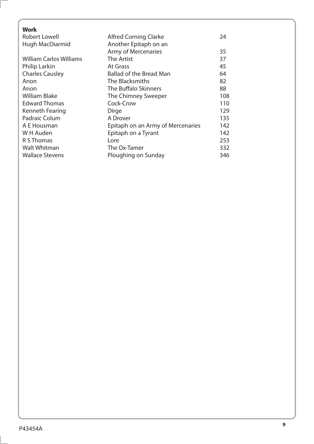| <b>Work</b>                    |                                   |     |
|--------------------------------|-----------------------------------|-----|
| Robert Lowell                  | <b>Alfred Corning Clarke</b>      | 24  |
| Hugh MacDiarmid                | Another Epitaph on an             |     |
|                                | <b>Army of Mercenaries</b>        | 35  |
| <b>William Carlos Williams</b> | <b>The Artist</b>                 | 37  |
| Philip Larkin                  | At Grass                          | 45  |
| <b>Charles Causley</b>         | <b>Ballad of the Bread Man</b>    | 64  |
| Anon                           | The Blacksmiths                   | 82  |
| Anon                           | The Buffalo Skinners              | 88  |
| <b>William Blake</b>           | The Chimney Sweeper               | 108 |
| <b>Edward Thomas</b>           | Cock-Crow                         | 110 |
| Kenneth Fearing                | <b>Dirge</b>                      | 129 |
| Padraic Colum                  | A Drover                          | 135 |
| A E Housman                    | Epitaph on an Army of Mercenaries | 142 |
| W H Auden                      | Epitaph on a Tyrant               | 142 |
| R S Thomas                     | Lore                              | 253 |
| <b>Walt Whitman</b>            | The Ox-Tamer                      | 332 |
| <b>Wallace Stevens</b>         | Ploughing on Sunday               | 346 |
|                                |                                   |     |